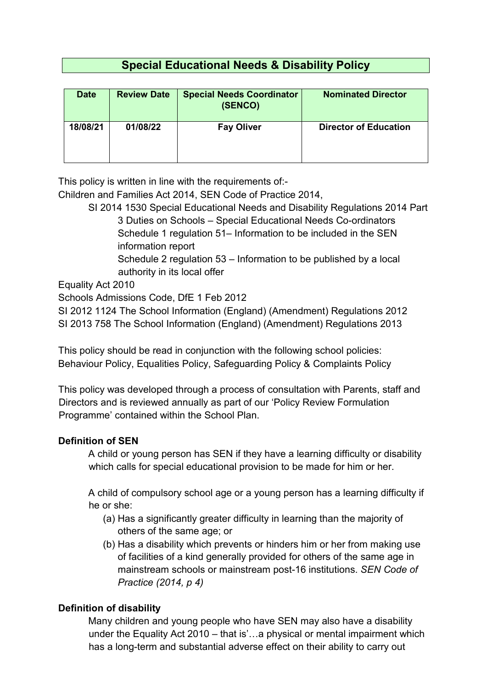# **Special Educational Needs & Disability Policy**

| <b>Date</b> | <b>Review Date</b> | <b>Special Needs Coordinator</b><br>(SENCO) | <b>Nominated Director</b>    |
|-------------|--------------------|---------------------------------------------|------------------------------|
| 18/08/21    | 01/08/22           | <b>Fay Oliver</b>                           | <b>Director of Education</b> |

This policy is written in line with the requirements of:-

Children and Families Act 2014, SEN Code of Practice 2014,

SI 2014 1530 Special Educational Needs and Disability Regulations 2014 Part 3 Duties on Schools – Special Educational Needs Co-ordinators Schedule 1 regulation 51– Information to be included in the SEN information report

Schedule 2 regulation 53 – Information to be published by a local authority in its local offer

Equality Act 2010

Schools Admissions Code, DfE 1 Feb 2012

SI 2012 1124 The School Information (England) (Amendment) Regulations 2012 SI 2013 758 The School Information (England) (Amendment) Regulations 2013

This policy should be read in conjunction with the following school policies: Behaviour Policy, Equalities Policy, Safeguarding Policy & Complaints Policy

This policy was developed through a process of consultation with Parents, staff and Directors and is reviewed annually as part of our 'Policy Review Formulation Programme' contained within the School Plan.

### **Definition of SEN**

A child or young person has SEN if they have a learning difficulty or disability which calls for special educational provision to be made for him or her.

A child of compulsory school age or a young person has a learning difficulty if he or she:

- (a) Has a significantly greater difficulty in learning than the majority of others of the same age; or
- (b) Has a disability which prevents or hinders him or her from making use of facilities of a kind generally provided for others of the same age in mainstream schools or mainstream post-16 institutions. *SEN Code of Practice (2014, p 4)*

## **Definition of disability**

Many children and young people who have SEN may also have a disability under the Equality Act 2010 – that is'…a physical or mental impairment which has a long-term and substantial adverse effect on their ability to carry out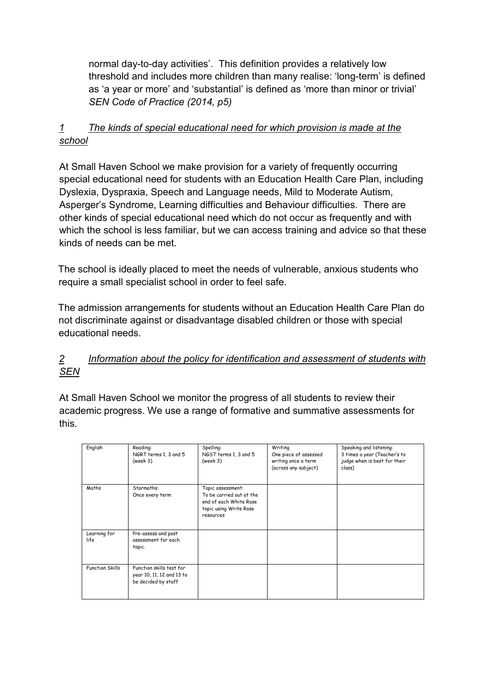normal day-to-day activities'. This definition provides a relatively low threshold and includes more children than many realise: 'long-term' is defined as 'a year or more' and 'substantial' is defined as 'more than minor or trivial' *SEN Code of Practice (2014, p5)* 

## *1 The kinds of special educational need for which provision is made at the school*

At Small Haven School we make provision for a variety of frequently occurring special educational need for students with an Education Health Care Plan, including Dyslexia, Dyspraxia, Speech and Language needs, Mild to Moderate Autism, Asperger's Syndrome, Learning difficulties and Behaviour difficulties. There are other kinds of special educational need which do not occur as frequently and with which the school is less familiar, but we can access training and advice so that these kinds of needs can be met.

The school is ideally placed to meet the needs of vulnerable, anxious students who require a small specialist school in order to feel safe.

The admission arrangements for students without an Education Health Care Plan do not discriminate against or disadvantage disabled children or those with special educational needs.

### *2 Information about the policy for identification and assessment of students with SEN*

At Small Haven School we monitor the progress of all students to review their academic progress. We use a range of formative and summative assessments for this.

| English                | Reading:<br>NGRT terms 1, 3 and 5<br>(week 3)                                | Spelling:<br>NGST terms 1, 3 and 5<br>(week 3)                                                                 | Writing<br>One piece of assessed<br>writing once a term<br>(across any subject) | Speaking and listening:<br>3 times a year (Teacher's to<br>judge when is best for their<br>class) |
|------------------------|------------------------------------------------------------------------------|----------------------------------------------------------------------------------------------------------------|---------------------------------------------------------------------------------|---------------------------------------------------------------------------------------------------|
| Maths                  | Starmaths:<br>Once every term                                                | Topic assessment:<br>To be carried out at the<br>end of each White Rose<br>topic using Write Rose<br>resources |                                                                                 |                                                                                                   |
| Learning for<br>life   | Pre-assess and post<br>assessment for each<br>topic.                         |                                                                                                                |                                                                                 |                                                                                                   |
| <b>Function Skills</b> | Function skills test for<br>year 10, 11, 12 and 13 to<br>be decided by staff |                                                                                                                |                                                                                 |                                                                                                   |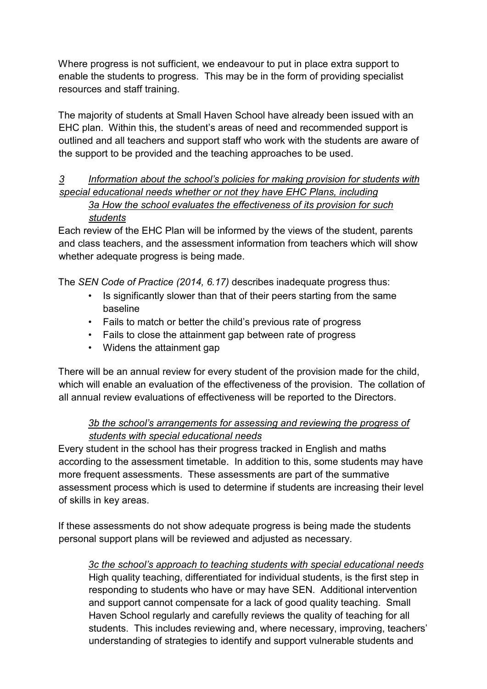Where progress is not sufficient, we endeavour to put in place extra support to enable the students to progress. This may be in the form of providing specialist resources and staff training.

The majority of students at Small Haven School have already been issued with an EHC plan. Within this, the student's areas of need and recommended support is outlined and all teachers and support staff who work with the students are aware of the support to be provided and the teaching approaches to be used.

#### *3 Information about the school's policies for making provision for students with special educational needs whether or not they have EHC Plans, including 3a How the school evaluates the effectiveness of its provision for such students*

Each review of the EHC Plan will be informed by the views of the student, parents and class teachers, and the assessment information from teachers which will show whether adequate progress is being made.

The *SEN Code of Practice (2014, 6.17)* describes inadequate progress thus:

- Is significantly slower than that of their peers starting from the same baseline
- Fails to match or better the child's previous rate of progress
- Fails to close the attainment gap between rate of progress
- Widens the attainment gap

There will be an annual review for every student of the provision made for the child, which will enable an evaluation of the effectiveness of the provision. The collation of all annual review evaluations of effectiveness will be reported to the Directors.

#### *3b the school's arrangements for assessing and reviewing the progress of students with special educational needs*

Every student in the school has their progress tracked in English and maths according to the assessment timetable. In addition to this, some students may have more frequent assessments. These assessments are part of the summative assessment process which is used to determine if students are increasing their level of skills in key areas.

If these assessments do not show adequate progress is being made the students personal support plans will be reviewed and adjusted as necessary.

*3c the school's approach to teaching students with special educational needs*

High quality teaching, differentiated for individual students, is the first step in responding to students who have or may have SEN. Additional intervention and support cannot compensate for a lack of good quality teaching. Small Haven School regularly and carefully reviews the quality of teaching for all students. This includes reviewing and, where necessary, improving, teachers' understanding of strategies to identify and support vulnerable students and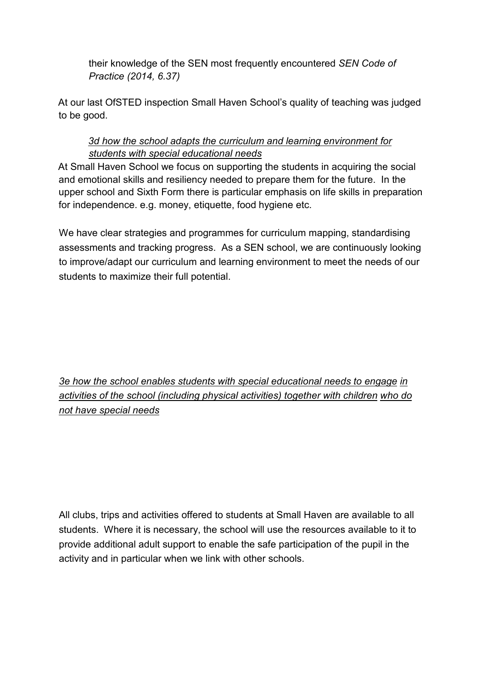their knowledge of the SEN most frequently encountered *SEN Code of Practice (2014, 6.37)* 

At our last OfSTED inspection Small Haven School's quality of teaching was judged to be good.

#### *3d how the school adapts the curriculum and learning environment for students with special educational needs*

At Small Haven School we focus on supporting the students in acquiring the social and emotional skills and resiliency needed to prepare them for the future. In the upper school and Sixth Form there is particular emphasis on life skills in preparation for independence. e.g. money, etiquette, food hygiene etc.

We have clear strategies and programmes for curriculum mapping, standardising assessments and tracking progress. As a SEN school, we are continuously looking to improve/adapt our curriculum and learning environment to meet the needs of our students to maximize their full potential.

*3e how the school enables students with special educational needs to engage in activities of the school (including physical activities) together with children who do not have special needs* 

All clubs, trips and activities offered to students at Small Haven are available to all students. Where it is necessary, the school will use the resources available to it to provide additional adult support to enable the safe participation of the pupil in the activity and in particular when we link with other schools.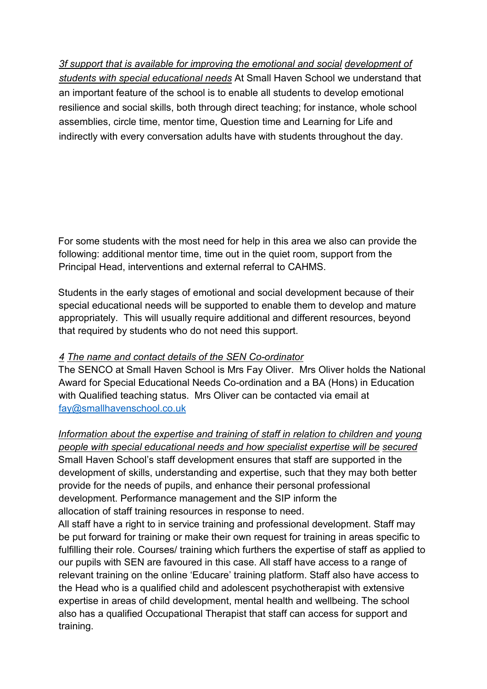*3f support that is available for improving the emotional and social development of students with special educational needs* At Small Haven School we understand that an important feature of the school is to enable all students to develop emotional resilience and social skills, both through direct teaching; for instance, whole school assemblies, circle time, mentor time, Question time and Learning for Life and indirectly with every conversation adults have with students throughout the day.

For some students with the most need for help in this area we also can provide the following: additional mentor time, time out in the quiet room, support from the Principal Head, interventions and external referral to CAHMS.

Students in the early stages of emotional and social development because of their special educational needs will be supported to enable them to develop and mature appropriately. This will usually require additional and different resources, beyond that required by students who do not need this support.

### *4 The name and contact details of the SEN Co-ordinator*

The SENCO at Small Haven School is Mrs Fay Oliver. Mrs Oliver holds the National Award for Special Educational Needs Co-ordination and a BA (Hons) in Education with Qualified teaching status. Mrs Oliver can be contacted via email at [fay@smallhavenschool.co.uk](mailto:fay@smallhavenschool.co.uk)

*Information about the expertise and training of staff in relation to children and young people with special educational needs and how specialist expertise will be secured* Small Haven School's staff development ensures that staff are supported in the development of skills, understanding and expertise, such that they may both better provide for the needs of pupils, and enhance their personal professional development. Performance management and the SIP inform the allocation of staff training resources in response to need.

All staff have a right to in service training and professional development. Staff may be put forward for training or make their own request for training in areas specific to fulfilling their role. Courses/ training which furthers the expertise of staff as applied to our pupils with SEN are favoured in this case. All staff have access to a range of relevant training on the online 'Educare' training platform. Staff also have access to the Head who is a qualified child and adolescent psychotherapist with extensive expertise in areas of child development, mental health and wellbeing. The school also has a qualified Occupational Therapist that staff can access for support and training.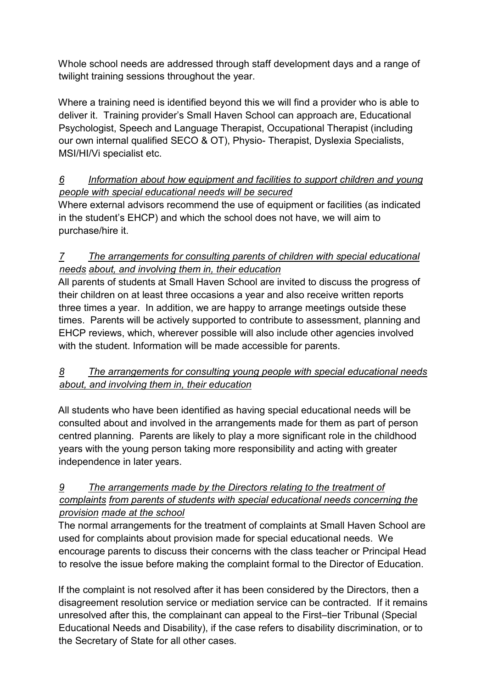Whole school needs are addressed through staff development days and a range of twilight training sessions throughout the year.

Where a training need is identified beyond this we will find a provider who is able to deliver it. Training provider's Small Haven School can approach are, Educational Psychologist, Speech and Language Therapist, Occupational Therapist (including our own internal qualified SECO & OT), Physio- Therapist, Dyslexia Specialists, MSI/HI/Vi specialist etc.

## *6 Information about how equipment and facilities to support children and young people with special educational needs will be secured*

Where external advisors recommend the use of equipment or facilities (as indicated in the student's EHCP) and which the school does not have, we will aim to purchase/hire it.

## *7 The arrangements for consulting parents of children with special educational needs about, and involving them in, their education*

All parents of students at Small Haven School are invited to discuss the progress of their children on at least three occasions a year and also receive written reports three times a year. In addition, we are happy to arrange meetings outside these times. Parents will be actively supported to contribute to assessment, planning and EHCP reviews, which, wherever possible will also include other agencies involved with the student. Information will be made accessible for parents.

## *8 The arrangements for consulting young people with special educational needs about, and involving them in, their education*

All students who have been identified as having special educational needs will be consulted about and involved in the arrangements made for them as part of person centred planning. Parents are likely to play a more significant role in the childhood years with the young person taking more responsibility and acting with greater independence in later years.

### *9 The arrangements made by the Directors relating to the treatment of complaints from parents of students with special educational needs concerning the provision made at the school*

The normal arrangements for the treatment of complaints at Small Haven School are used for complaints about provision made for special educational needs. We encourage parents to discuss their concerns with the class teacher or Principal Head to resolve the issue before making the complaint formal to the Director of Education.

If the complaint is not resolved after it has been considered by the Directors, then a disagreement resolution service or mediation service can be contracted. If it remains unresolved after this, the complainant can appeal to the First–tier Tribunal (Special Educational Needs and Disability), if the case refers to disability discrimination, or to the Secretary of State for all other cases.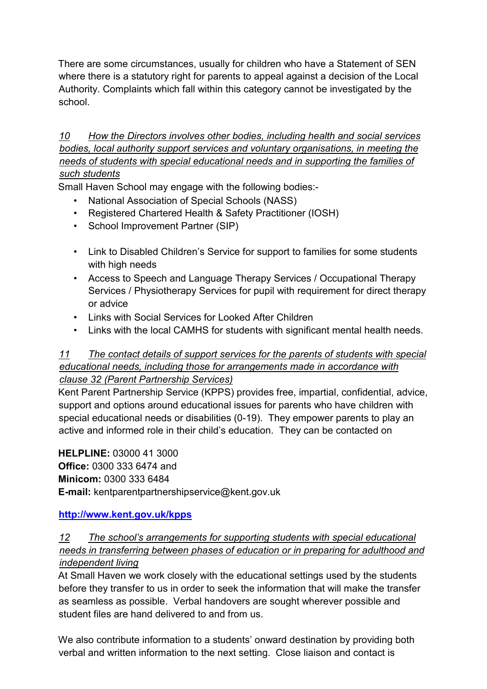There are some circumstances, usually for children who have a Statement of SEN where there is a statutory right for parents to appeal against a decision of the Local Authority. Complaints which fall within this category cannot be investigated by the school.

*10 How the Directors involves other bodies, including health and social services bodies, local authority support services and voluntary organisations, in meeting the needs of students with special educational needs and in supporting the families of such students*

Small Haven School may engage with the following bodies:-

- National Association of Special Schools (NASS)
- Registered Chartered Health & Safety Practitioner (IOSH)
- School Improvement Partner (SIP)
- Link to Disabled Children's Service for support to families for some students with high needs
- Access to Speech and Language Therapy Services / Occupational Therapy Services / Physiotherapy Services for pupil with requirement for direct therapy or advice
- Links with Social Services for Looked After Children
- Links with the local CAMHS for students with significant mental health needs.

#### *11 The contact details of support services for the parents of students with special educational needs, including those for arrangements made in accordance with clause 32 (Parent Partnership Services)*

Kent Parent Partnership Service (KPPS) provides free, impartial, confidential, advice, support and options around educational issues for parents who have children with special educational needs or disabilities (0-19). They empower parents to play an active and informed role in their child's education. They can be contacted on

**HELPLINE:** 03000 41 3000 **Office:** 0300 333 6474 and **Minicom:** 0300 333 6484 **E-mail:** kentparentpartnershipservice@kent.gov.uk

**<http://www.kent.gov.uk/kpps>**

### *12 The school's arrangements for supporting students with special educational needs in transferring between phases of education or in preparing for adulthood and independent living*

At Small Haven we work closely with the educational settings used by the students before they transfer to us in order to seek the information that will make the transfer as seamless as possible. Verbal handovers are sought wherever possible and student files are hand delivered to and from us.

We also contribute information to a students' onward destination by providing both verbal and written information to the next setting. Close liaison and contact is